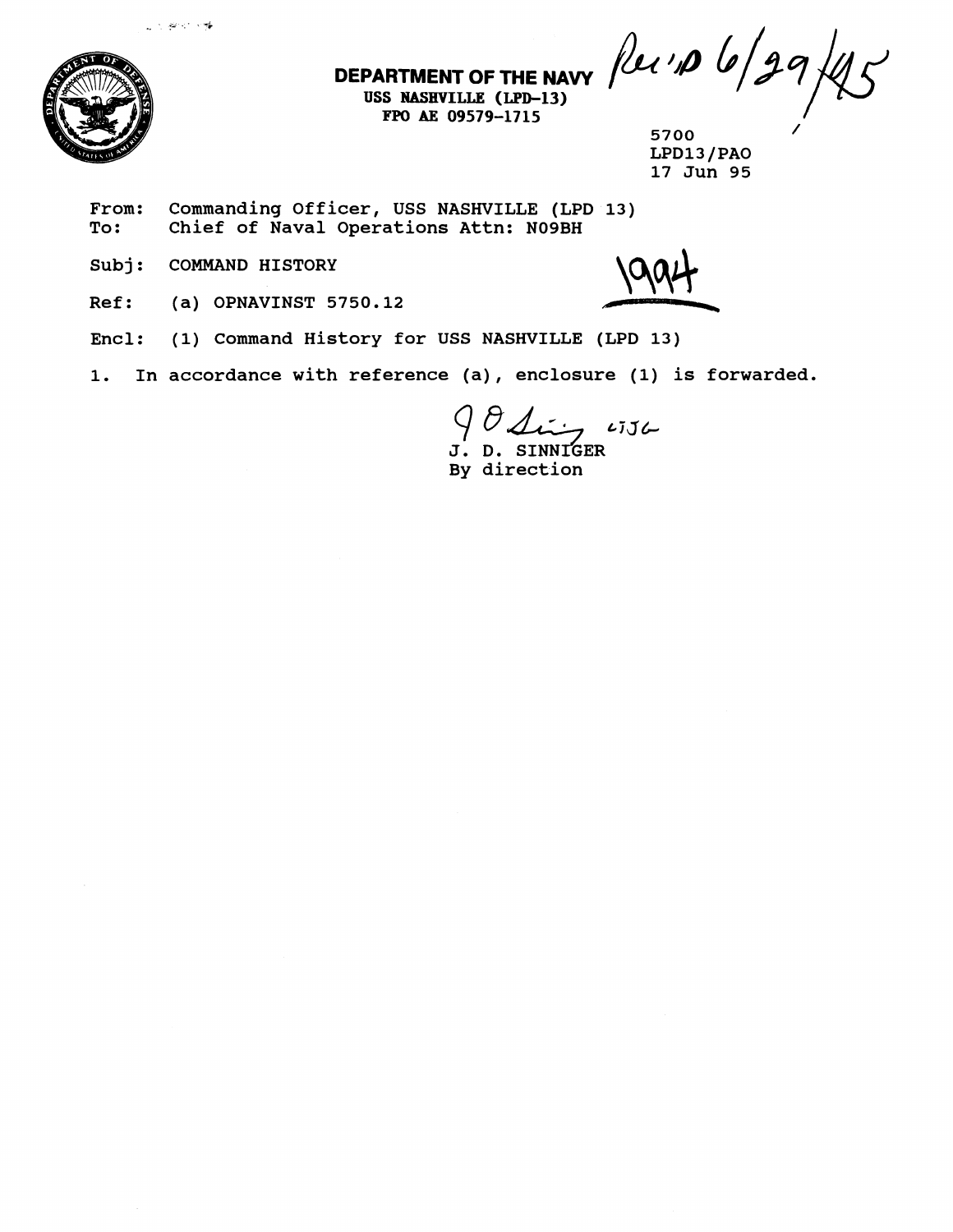

**FPO BE 09579-1715** - /

**DEPARTMENT OF THE NAVY**  $\int$   $\ell$   $\ell'$   $\int$   $\theta$   $\int$   $\int$   $\ell$ 

**<sup>5700</sup>**/ **LPD13/PAO 17 Jun 95** 

From: Commanding Officer, USS NASHVILLE (LPD 13)<br>To: Chief of Naval Operations Attn: N09BH **To: Chief of Naval Operations Attn: NO9BH** 

**Subj: COMMAND HISTORY** 

ني الياباني.<br>مواليد المواطنيني

**Ref: (a) OPNAVINST 5750.12** 

- **Encl: (1) Command History for USS NASHVILLE (LPD 13)**
- **1. In accordance with reference (a), enclosure (1) is forwarded.**

 $7.156$ J. D. SINNIGER **By direction**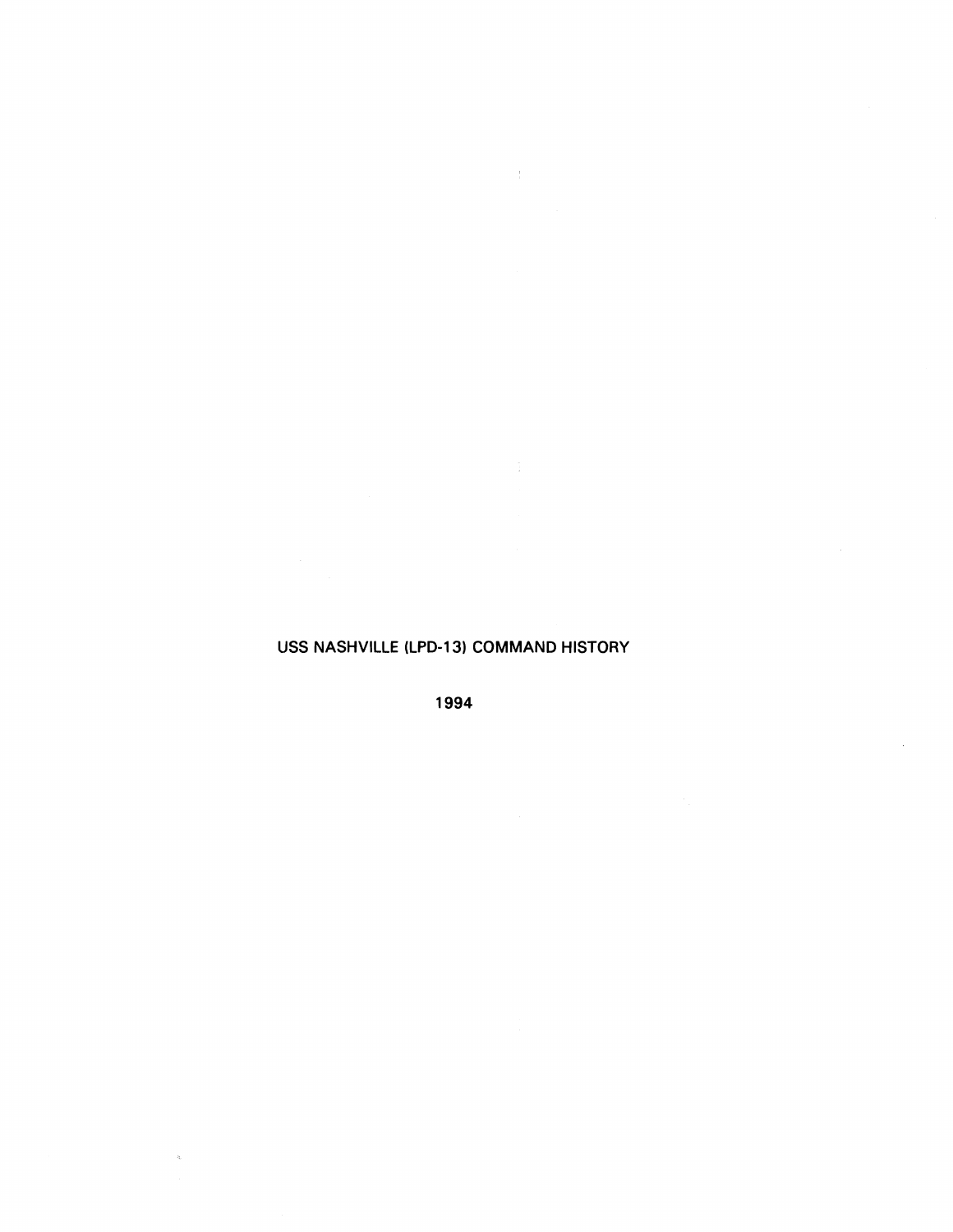### **USS NASHVILLE (LPD-13) COMMAND HISTORY**

 $\langle f \rangle$  ,  $\langle \cdot \rangle$ 

**1994** 

 $\bar{\mathbf{x}}$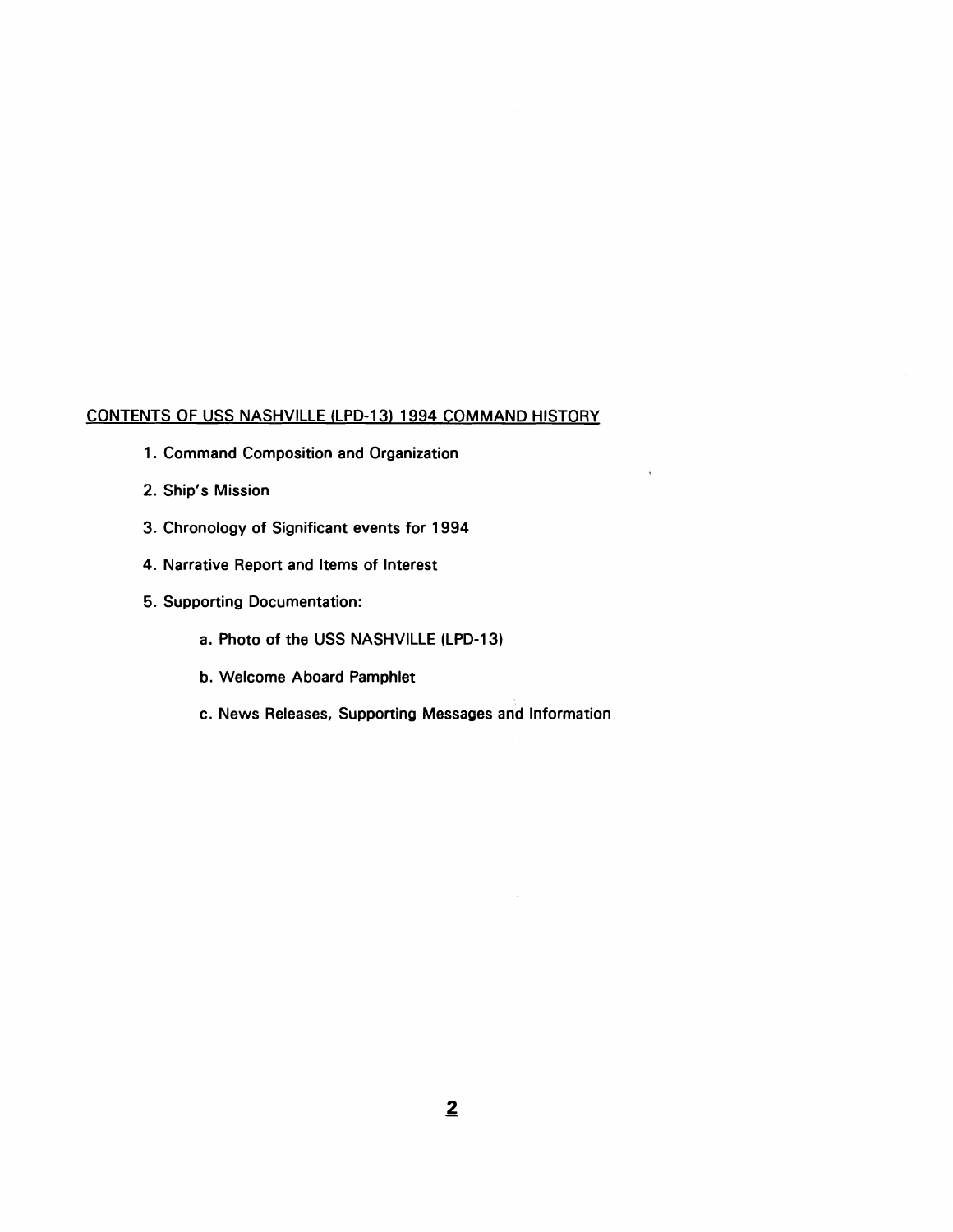### **CONTENTS OF USS NASHVILLE (LPD-13) 1994 COMMAND HISTORY**

- **1. Command Composition and Organization**
- **2. Ship's Mission**
- **3. Chronology of Significant events for 1994**
- **4. Narrative Report and Items of Interest**
- **5. Supporting Documentation:** 
	- **a. Photo of the USS NASHVILLE (LPD-13)**
	- **b. Welcome Aboard Pamphlet**
	- **c. News Releases, Supporting Messages and Information**

 $\ddot{\phantom{a}}$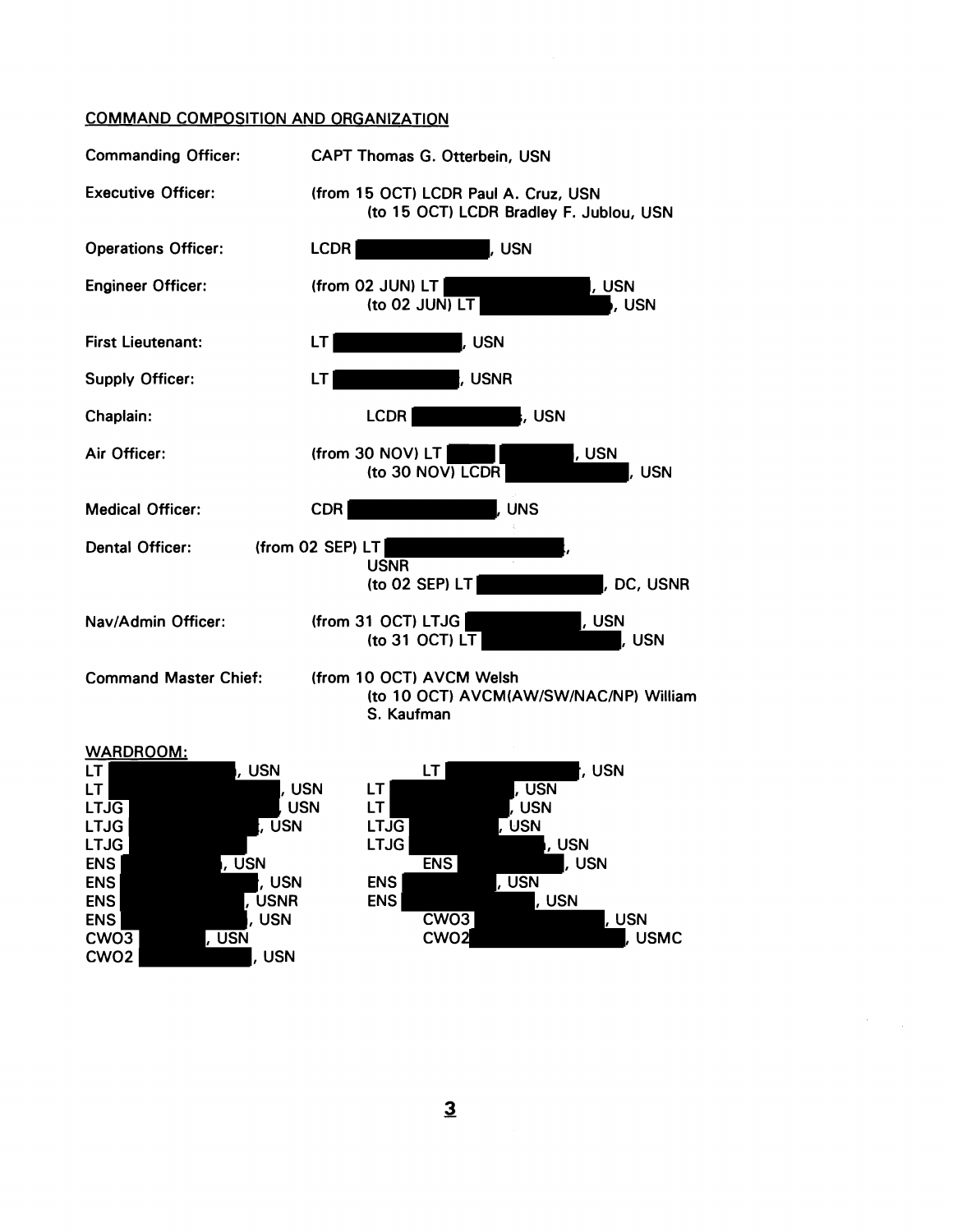### COMMAND COMPOSITION AND ORGANIZATION





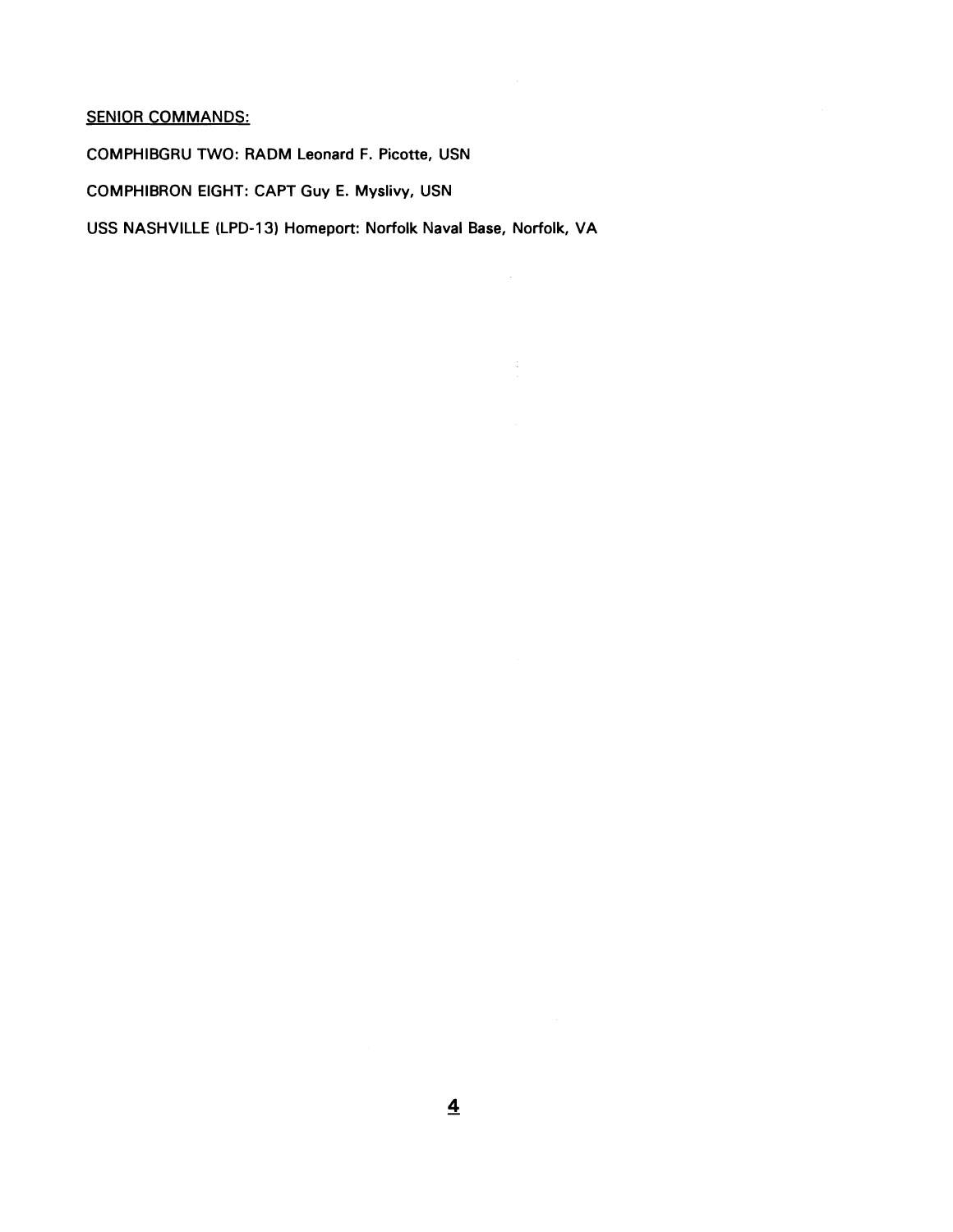## **SENIOR COMMANDS:**

**COMPHIBGRU TWO: RADM Leonard F. Picotte, USN** 

**COMPHIBRON EIGHT: CAPT Guy E. Myslivy, USN** 

**USS NASHVILLE (LPD-13) Homeport: Norfolk Naval Base, Norfolk, VA** 

 $\mathbb{C}$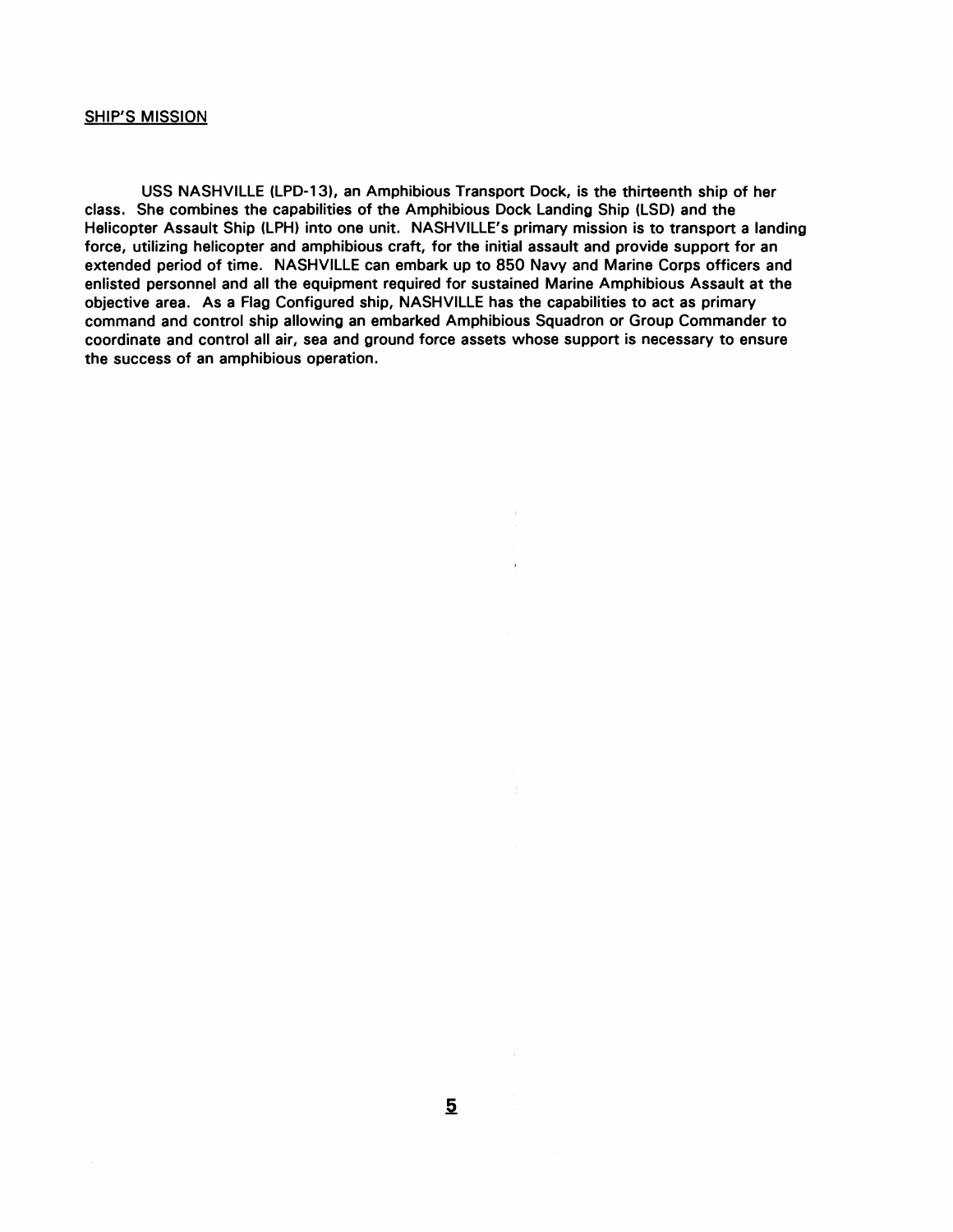### SHIP'S MISSION

USS NASHVILLE (LPD-131, an Amphibious Transport Dock, is the thirteenth ship of her class. She combines the capabilities of the Amphibious Dock Landing Ship (LSD) and the Helicopter Assault Ship (LPH) into one unit. NASHVILLE'S primary mission is to transport a landing force, utilizing helicopter and amphibious craft, for the initial assault and provide support for an extended period of time. NASHVILLE can embark up to 850 Navy and Marine Corps officers and enlisted personnel and all the equipment required for sustained Marine Amphibious Assault at the objective area. As a Flag Configured ship, NASHVILLE has the capabilities to act as primary command and control ship allowing an embarked Amphibious Squadron or Group Commander to coordinate and control all air, sea and ground force assets whose support is necessary to ensure the success of an amphibious operation.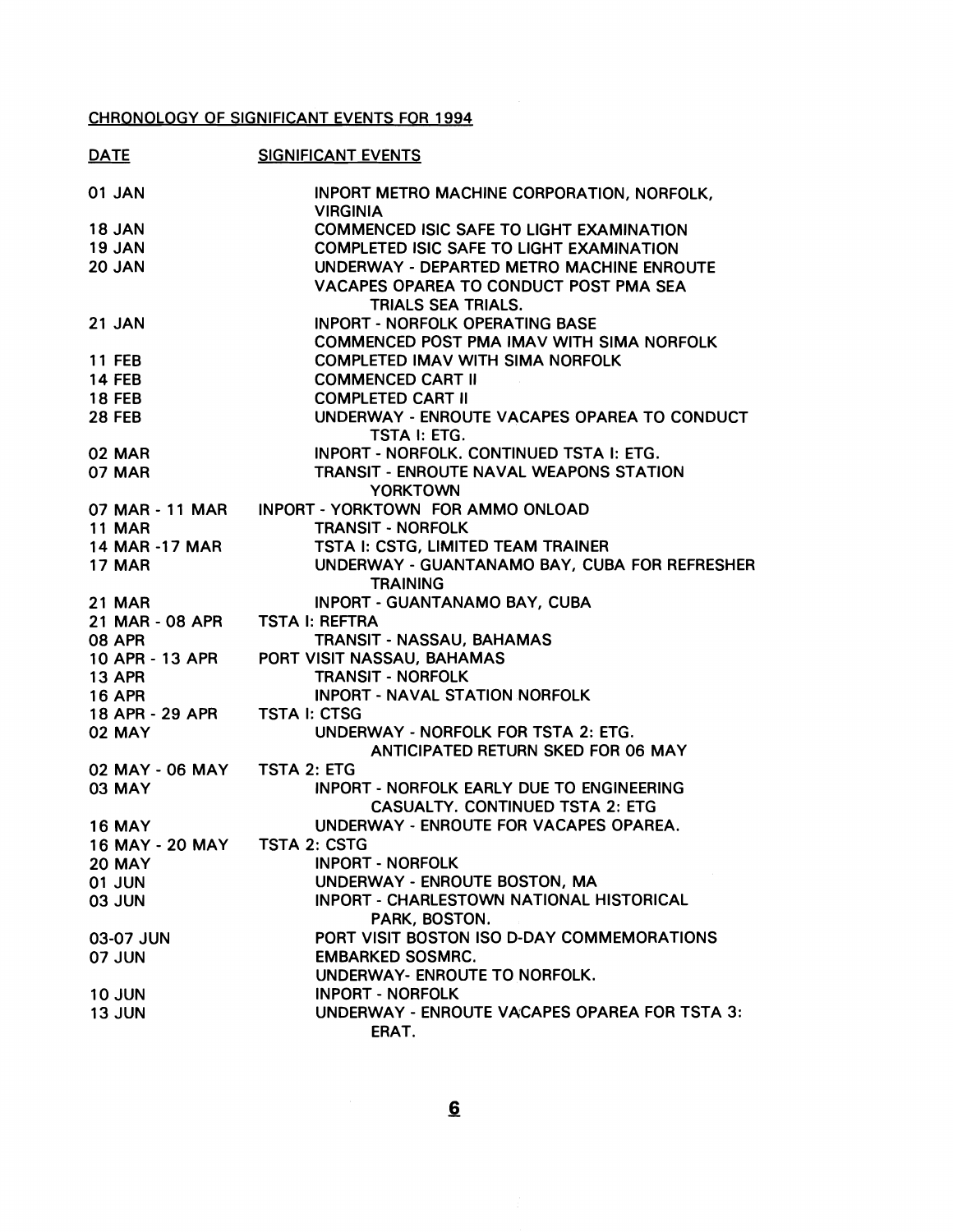# CHRONOLOGY OF SIGNIFICANT EVENTS FOR 1994

| <b>DATE</b>                  | <b>SIGNIFICANT EVENTS</b>                                     |
|------------------------------|---------------------------------------------------------------|
| 01 JAN                       | INPORT METRO MACHINE CORPORATION, NORFOLK,<br><b>VIRGINIA</b> |
| <b>18 JAN</b>                | <b>COMMENCED ISIC SAFE TO LIGHT EXAMINATION</b>               |
| 19 JAN                       | <b>COMPLETED ISIC SAFE TO LIGHT EXAMINATION</b>               |
| 20 JAN                       | UNDERWAY - DEPARTED METRO MACHINE ENROUTE                     |
|                              | VACAPES OPAREA TO CONDUCT POST PMA SEA                        |
|                              | <b>TRIALS SEA TRIALS.</b>                                     |
| 21 JAN                       | <b>INPORT - NORFOLK OPERATING BASE</b>                        |
|                              | COMMENCED POST PMA IMAV WITH SIMA NORFOLK                     |
| <b>11 FEB</b>                | <b>COMPLETED IMAV WITH SIMA NORFOLK</b>                       |
| <b>14 FEB</b>                | <b>COMMENCED CART II</b>                                      |
| <b>18 FEB</b>                | <b>COMPLETED CART II</b>                                      |
|                              |                                                               |
| <b>28 FEB</b>                | UNDERWAY - ENROUTE VACAPES OPAREA TO CONDUCT                  |
|                              | TSTA I: ETG.                                                  |
| 02 MAR                       | INPORT - NORFOLK. CONTINUED TSTA I: ETG.                      |
| <b>07 MAR</b>                | <b>TRANSIT - ENROUTE NAVAL WEAPONS STATION</b>                |
|                              | <b>YORKTOWN</b>                                               |
|                              | 07 MAR - 11 MAR INPORT - YORKTOWN FOR AMMO ONLOAD             |
| <b>11 MAR</b>                | <b>TRANSIT - NORFOLK</b>                                      |
| 14 MAR -17 MAR               | TSTA I: CSTG, LIMITED TEAM TRAINER                            |
| <b>17 MAR</b>                | UNDERWAY - GUANTANAMO BAY, CUBA FOR REFRESHER                 |
|                              | <b>TRAINING</b>                                               |
| <b>21 MAR</b>                | <b>INPORT - GUANTANAMO BAY, CUBA</b>                          |
| 21 MAR - 08 APR              | <b>TSTA I: REFTRA</b>                                         |
| <b>08 APR</b>                | <b>TRANSIT - NASSAU, BAHAMAS</b>                              |
| 10 APR - 13 APR              | PORT VISIT NASSAU, BAHAMAS                                    |
| <b>13 APR</b>                | <b>TRANSIT - NORFOLK</b>                                      |
| <b>16 APR</b>                | <b>INPORT - NAVAL STATION NORFOLK</b>                         |
| 18 APR - 29 APR              | <b>TSTA I: CTSG</b>                                           |
| <b>02 MAY</b>                | UNDERWAY - NORFOLK FOR TSTA 2: ETG.                           |
|                              | ANTICIPATED RETURN SKED FOR 06 MAY                            |
| 02 MAY - 06 MAY TSTA 2: ETG  |                                                               |
| <b>03 MAY</b>                | <b>INPORT - NORFOLK EARLY DUE TO ENGINEERING</b>              |
|                              | <b>CASUALTY. CONTINUED TSTA 2: ETG</b>                        |
| <b>16 MAY</b>                | UNDERWAY - ENROUTE FOR VACAPES OPAREA.                        |
| 16 MAY - 20 MAY TSTA 2: CSTG |                                                               |
| <b>20 MAY</b>                | <b>INPORT - NORFOLK</b>                                       |
| <b>01 JUN</b>                | UNDERWAY - ENROUTE BOSTON, MA                                 |
| <b>03 JUN</b>                | INPORT - CHARLESTOWN NATIONAL HISTORICAL                      |
|                              | PARK, BOSTON.                                                 |
| 03-07 JUN                    | PORT VISIT BOSTON ISO D-DAY COMMEMORATIONS                    |
| 07 JUN                       | <b>EMBARKED SOSMRC.</b>                                       |
|                              | UNDERWAY- ENROUTE TO NORFOLK.                                 |
| <b>10 JUN</b>                | <b>INPORT - NORFOLK</b>                                       |
| <b>13 JUN</b>                | UNDERWAY - ENROUTE VACAPES OPAREA FOR TSTA 3:                 |
|                              | ERAT.                                                         |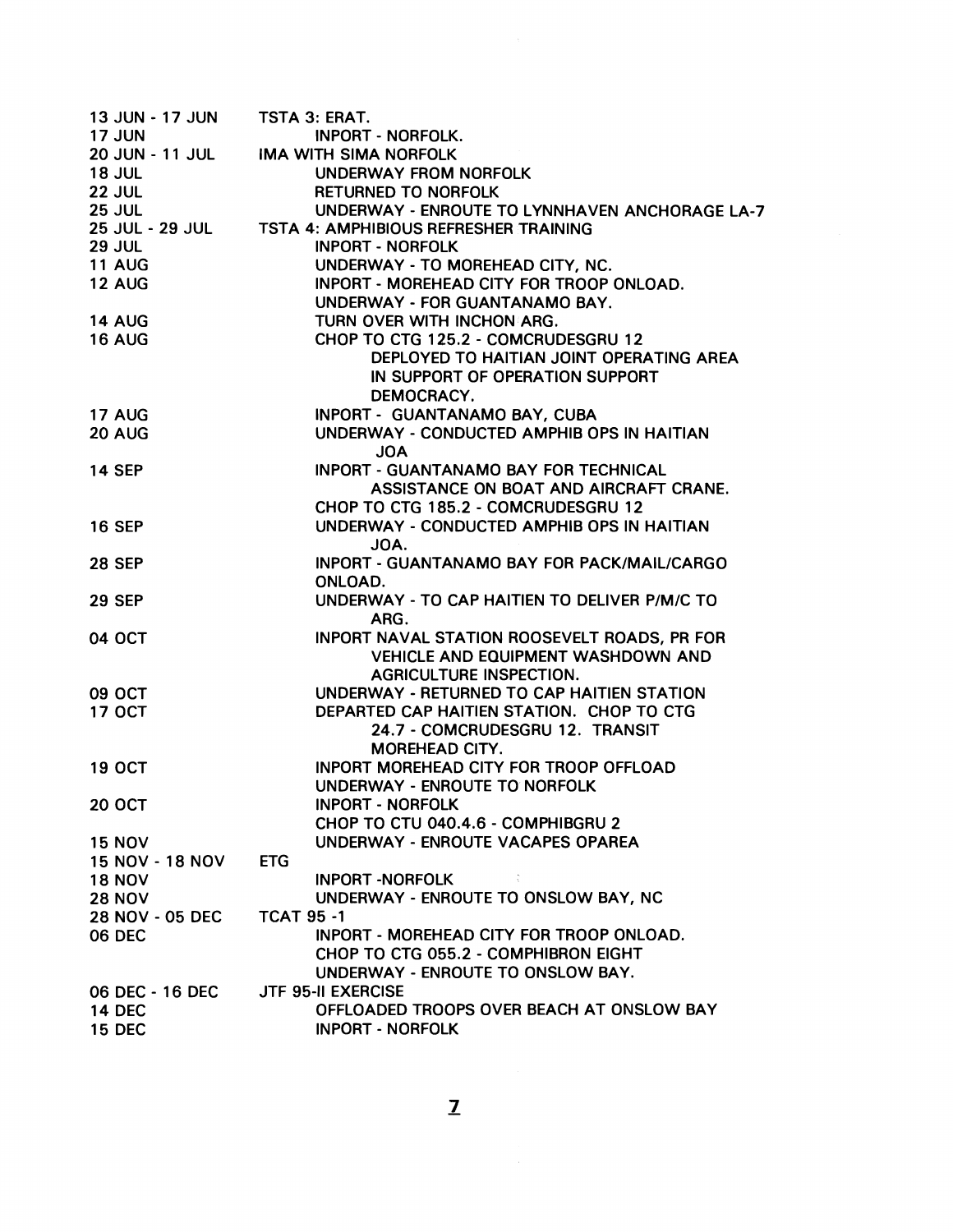| 13 JUN - 17 JUN        | TSTA 3: ERAT.                                         |
|------------------------|-------------------------------------------------------|
| <b>17 JUN</b>          | <b>INPORT - NORFOLK.</b>                              |
| <b>20 JUN - 11 JUL</b> | <b>IMA WITH SIMA NORFOLK</b>                          |
| <b>18 JUL</b>          | UNDERWAY FROM NORFOLK                                 |
| <b>22 JUL</b>          | <b>RETURNED TO NORFOLK</b>                            |
| <b>25 JUL</b>          | UNDERWAY - ENROUTE TO LYNNHAVEN ANCHORAGE LA-7        |
|                        | 25 JUL - 29 JUL TSTA 4: AMPHIBIOUS REFRESHER TRAINING |
| <b>29 JUL</b>          | <b>INPORT - NORFOLK</b>                               |
| <b>11 AUG</b>          | UNDERWAY - TO MOREHEAD CITY, NC.                      |
| <b>12 AUG</b>          | INPORT - MOREHEAD CITY FOR TROOP ONLOAD.              |
|                        | UNDERWAY - FOR GUANTANAMO BAY.                        |
|                        |                                                       |
| <b>14 AUG</b>          | TURN OVER WITH INCHON ARG.                            |
| <b>16 AUG</b>          | CHOP TO CTG 125.2 - COMCRUDESGRU 12                   |
|                        | DEPLOYED TO HAITIAN JOINT OPERATING AREA              |
|                        | IN SUPPORT OF OPERATION SUPPORT                       |
|                        | DEMOCRACY.                                            |
| <b>17 AUG</b>          | INPORT - GUANTANAMO BAY, CUBA                         |
| 20 AUG                 | UNDERWAY - CONDUCTED AMPHIB OPS IN HAITIAN            |
|                        | <b>AOL</b>                                            |
| <b>14 SEP</b>          | <b>INPORT - GUANTANAMO BAY FOR TECHNICAL</b>          |
|                        | ASSISTANCE ON BOAT AND AIRCRAFT CRANE.                |
|                        | CHOP TO CTG 185.2 - COMCRUDESGRU 12                   |
| <b>16 SEP</b>          | UNDERWAY - CONDUCTED AMPHIB OPS IN HAITIAN            |
|                        | JOA.                                                  |
| <b>28 SEP</b>          | <b>INPORT - GUANTANAMO BAY FOR PACK/MAIL/CARGO</b>    |
|                        | ONLOAD.                                               |
|                        |                                                       |
| <b>29 SEP</b>          | UNDERWAY - TO CAP HAITIEN TO DELIVER P/M/C TO         |
|                        | ARG.                                                  |
| <b>04 OCT</b>          | INPORT NAVAL STATION ROOSEVELT ROADS, PR FOR          |
|                        | <b>VEHICLE AND EQUIPMENT WASHDOWN AND</b>             |
|                        | <b>AGRICULTURE INSPECTION.</b>                        |
| <b>09 OCT</b>          | UNDERWAY - RETURNED TO CAP HAITIEN STATION            |
| <b>17 OCT</b>          | DEPARTED CAP HAITIEN STATION. CHOP TO CTG             |
|                        | 24.7 - COMCRUDESGRU 12. TRANSIT                       |
|                        | <b>MOREHEAD CITY.</b>                                 |
| <b>19 OCT</b>          | <b>INPORT MOREHEAD CITY FOR TROOP OFFLOAD</b>         |
|                        | UNDERWAY - ENROUTE TO NORFOLK                         |
| <b>20 OCT</b>          | <b>INPORT - NORFOLK</b>                               |
|                        | CHOP TO CTU 040.4.6 - COMPHIBGRU 2                    |
| <b>15 NOV</b>          | UNDERWAY - ENROUTE VACAPES OPAREA                     |
| <b>15 NOV - 18 NOV</b> | <b>ETG</b>                                            |
| <b>18 NOV</b>          | <b>INPORT -NORFOLK</b>                                |
|                        | UNDERWAY - ENROUTE TO ONSLOW BAY, NC                  |
| <b>28 NOV</b>          |                                                       |
| <b>28 NOV - 05 DEC</b> | <b>TCAT 95 -1</b>                                     |
| 06 DEC                 | INPORT - MOREHEAD CITY FOR TROOP ONLOAD.              |
|                        | CHOP TO CTG 055.2 - COMPHIBRON EIGHT                  |
|                        | UNDERWAY - ENROUTE TO ONSLOW BAY.                     |
| 06 DEC - 16 DEC        | <b>JTF 95-II EXERCISE</b>                             |
| <b>14 DEC</b>          | OFFLOADED TROOPS OVER BEACH AT ONSLOW BAY             |
| <b>15 DEC</b>          | <b>INPORT - NORFOLK</b>                               |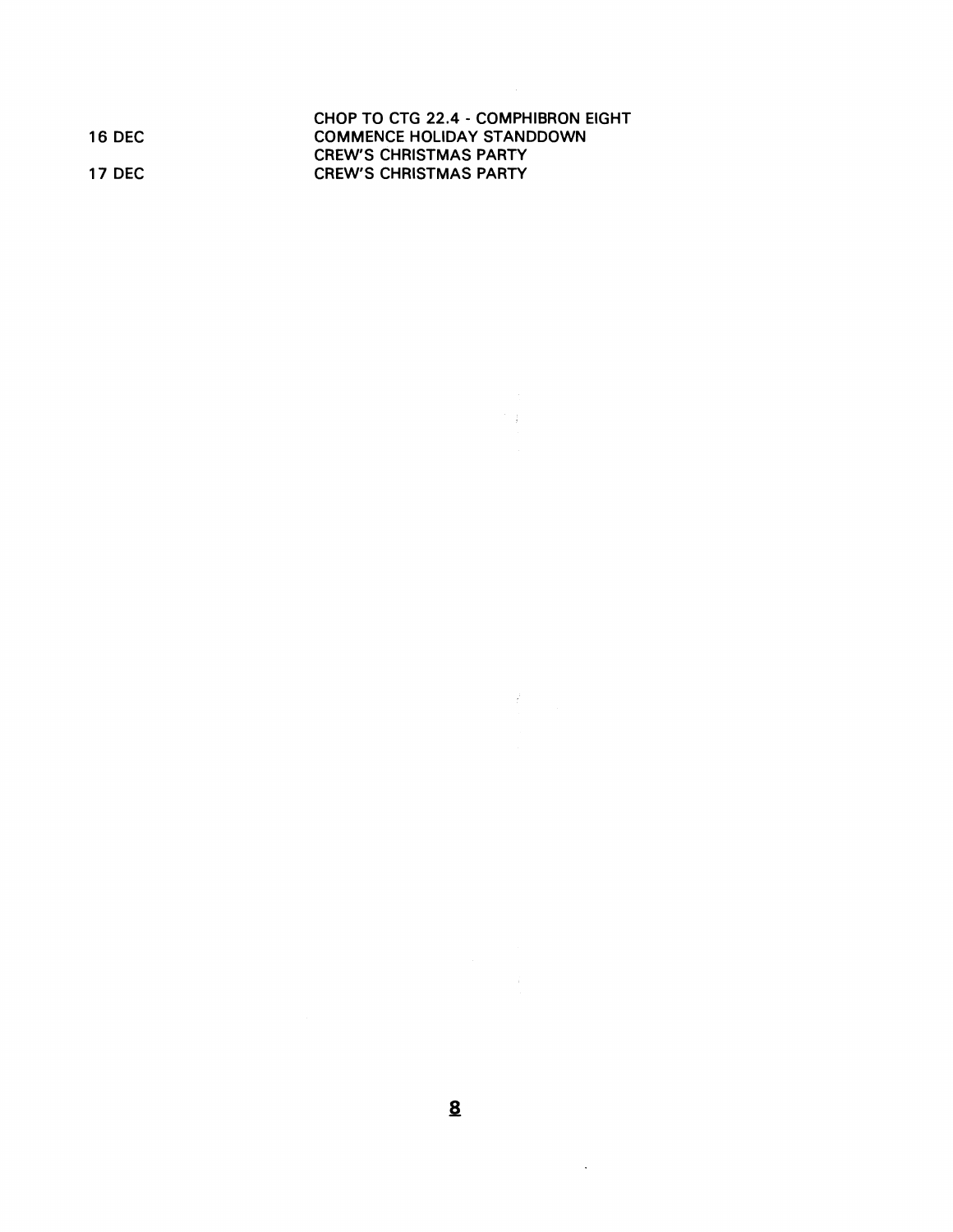|         | CHOP TO CTG 22.4 - COMPHIBRON EIGHT |
|---------|-------------------------------------|
| 16 DEC  | <b>COMMENCE HOLIDAY STANDDOWN</b>   |
|         | <b>CREW'S CHRISTMAS PARTY</b>       |
| 17 DEC. | <b>CREW'S CHRISTMAS PARTY</b>       |
|         |                                     |

 $\label{eq:2.1} \begin{split} \mathcal{L}_{\text{max}}(\mathcal{L}_{\text{max}}) = \mathcal{L}_{\text{max}}(\mathcal{L}_{\text{max}}) \,,\\ \mathcal{L}_{\text{max}}(\mathcal{L}_{\text{max}}) = \mathcal{L}_{\text{max}}(\mathcal{L}_{\text{max}}) \,,\\ \mathcal{L}_{\text{max}}(\mathcal{L}_{\text{max}}) = \mathcal{L}_{\text{max}}(\mathcal{L}_{\text{max}}) \,,\\ \mathcal{L}_{\text{max}}(\mathcal{L}_{\text{max}}) = \mathcal{L}_{\text{max}}(\mathcal{L}_{\text{max}}) \,,\\ \mathcal{L}_{$ 

 $\label{eq:2.1} \frac{1}{\left\| \left( \frac{1}{\sqrt{2}} \right)^2 \right\|_{\mathcal{H}^1}^2} \leq \frac{1}{\sqrt{2}} \sum_{i=1}^n \frac{1}{\left( \frac{1}{\sqrt{2}} \right)^2} \sum_{i=1}^n \frac{1}{\left( \frac{1}{\sqrt{2}} \right)^2} \sum_{i=1}^n \frac{1}{\sqrt{2}} \sum_{i=1}^n \frac{1}{\sqrt{2}} \sum_{i=1}^n \frac{1}{\sqrt{2}} \sum_{i=1}^n \frac{1}{\sqrt{2}} \sum_{i=1}^n \frac{1}{\$ 

 $\label{eq:2.1} \begin{array}{l} \mathcal{A}(\mathcal{A})=\mathcal{A}(\mathcal{A})\end{array}$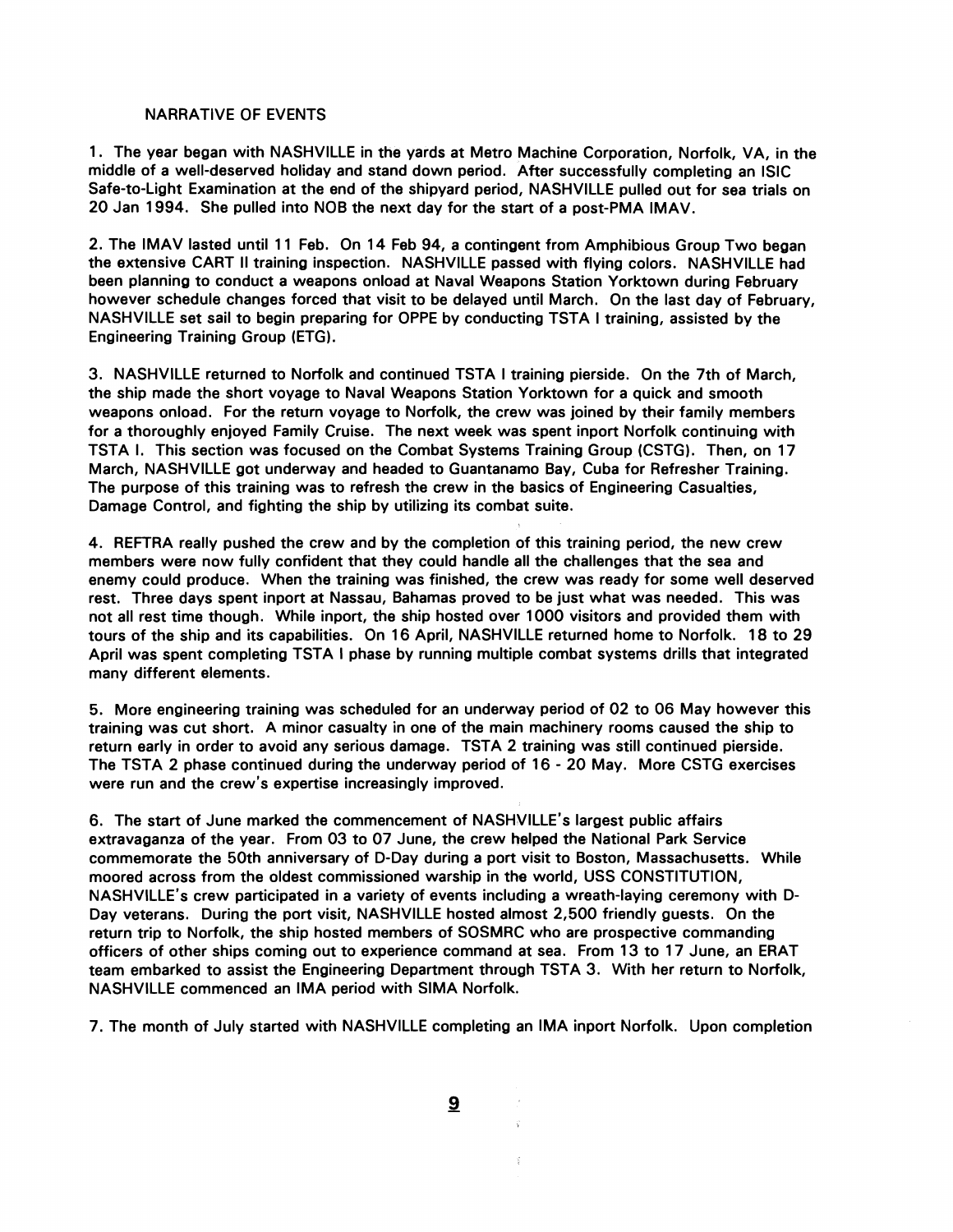#### NARRATIVE OF EVENTS

1. The year began with NASHVILLE in the yards at Metro Machine Corporation, Norfolk, VA, in the middle of a well-deserved holiday and stand down period. After successfully completing an lSlC Safe-to-Light Examination at the end of the shipyard period, NASHVILLE pulled out for sea trials on 20 Jan 1994. She pulled into NOB the next day for the start of a post-PMA IMAV.

2. The IMAV lasted until 11 Feb. On 14 Feb 94, a contingent from Amphibious Group Two began the extensive CART II training inspection. NASHVILLE passed with flying colors. NASHVILLE had been planning to conduct a weapons onload at Naval Weapons Station Yorktown during February however schedule changes forced that visit to be delayed until March. On the last day of February, NASHVILLE set sail to begin preparing for OPPE by conducting TSTA I training, assisted by the Engineering Training Group (ETG).

3. NASHVILLE returned to Norfolk and continued TSTA I training pierside. On the 7th of March, the ship made the short voyage to Naval Weapons Station Yorktown for a quick and smooth weapons onload. For the return voyage to Norfolk, the crew was joined by their family members for a thoroughly enjoyed Family Cruise. The next week was spent inport Norfolk continuing with TSTA I. This section was focused on the Combat Systems Training Group (CSTG). Then, on 17 March, NASHVILLE got underway and headed to Guantanamo Bay, Cuba for Refresher Training. The purpose of this training was to refresh the crew in the basics of Engineering Casualties, Damage Control, and fighting the ship by utilizing its combat suite.

4. REFTRA really pushed the crew and by the completion of this training period, the new crew members were now fully confident that they could handle all the challenges that the sea and enemy could produce. When the training was finished, the crew was ready for some well deserved rest. Three days spent inport at Nassau, Bahamas proved to be just what was needed. This was not all rest time though. While inport, the ship hosted over 1000 visitors and provided them with tours of the ship and its capabilities. On 16 April, NASHVILLE returned home to Norfolk. 18 to 29 April was spent completing TSTA I phase by running multiple combat systems drills that integrated many different elements.

5. More engineering training was scheduled for an underway period of 02 to 06 May however this training was cut short. A minor casualty in one of the main machinery rooms caused the ship to return early in order to avoid any serious damage. TSTA 2 training was still continued pierside. The TSTA 2 phase continued during the underway period of 16 - 20 May. More CSTG exercises were run and the crew's expertise increasingly improved.

6. The start of June marked the commencement of NASHVILLE'S largest public affairs extravaganza of the year. From 03 to 07 June, the crew helped the National Park Service commemorate the 50th anniversary of D-Day during a port visit to Boston, Massachusetts. While moored across from the oldest commissioned warship in the world, USS CONSTITUTION, NASHVILLE'S crew participated in a variety of events including a wreath-laying ceremony with D-Day veterans. During the port visit, NASHVILLE hosted almost 2,500 friendly guests. On the return trip to Norfolk, the ship hosted members of SOSMRC who are prospective commanding officers of other ships coming out to experience command at sea. From 13 to 17 June, an ERAT team embarked to assist the Engineering Department through TSTA 3. With her return to Norfolk, NASHVILLE commenced an IMA period with SlMA Norfolk.

7. The month of July started with NASHVILLE completing an IMA inport Norfolk. Upon completion

 $\overline{\mathbf{a}}$